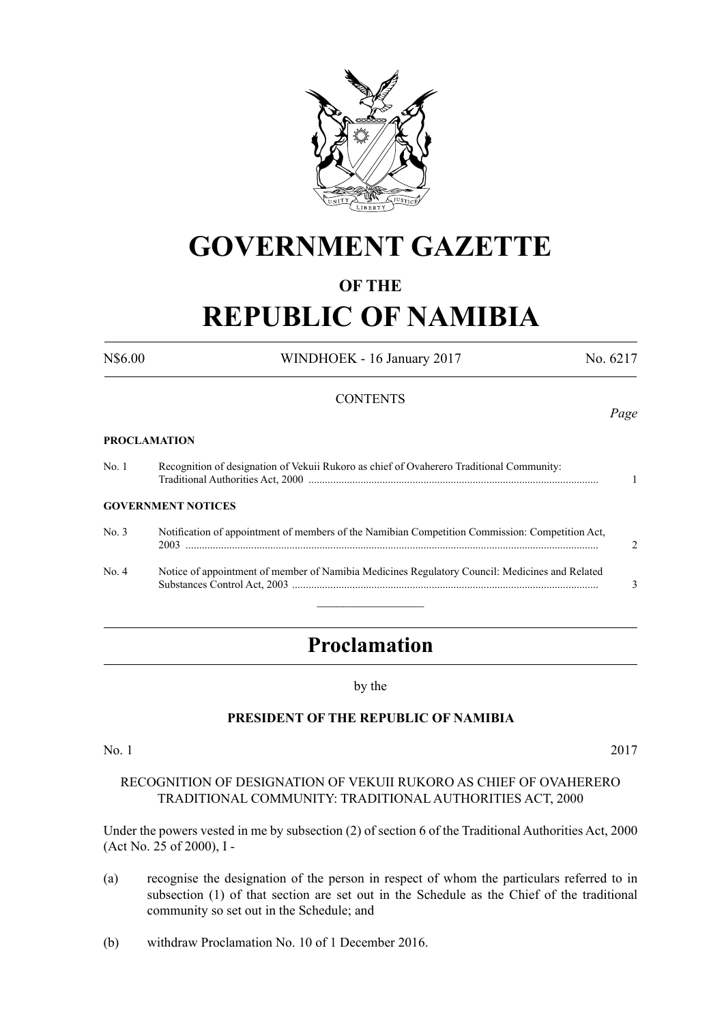

# **GOVERNMENT GAZETTE**

### **OF THE**

# **REPUBLIC OF NAMIBIA**

N\$6.00 WINDHOEK - 16 January 2017 No. 6217

**CONTENTS** *Page* **PROCLAMATION** No. 1 Recognition of designation of Vekuii Rukoro as chief of Ovaherero Traditional Community: Traditional Authorities Act, 2000 .......................................................................................................... 1 **GOVERNMENT NOTICES** No. 3 Notification of appointment of members of the Namibian Competition Commission: Competition Act, 2003 ....................................................................................................................................................... 2 No. 4 Notice of appointment of member of Namibia Medicines Regulatory Council: Medicines and Related Substances Control Act, 2003 ................................................................................................................ 3  $\frac{1}{2}$ 

## **Proclamation**

#### by the

#### **PRESIDENT OF THE REPUBLIC OF NAMIBIA**

No. 1 2017

#### RECOGNITION OF DESIGNATION OF VEKUII RUKORO AS CHIEF OF OVAHERERO TRADITIONAL COMMUNITY: TRADITIONAL AUTHORITIES ACT, 2000

Under the powers vested in me by subsection (2) of section 6 of the Traditional Authorities Act, 2000 (Act No. 25 of 2000), I -

- (a) recognise the designation of the person in respect of whom the particulars referred to in subsection (1) of that section are set out in the Schedule as the Chief of the traditional community so set out in the Schedule; and
- (b) withdraw Proclamation No. 10 of 1 December 2016.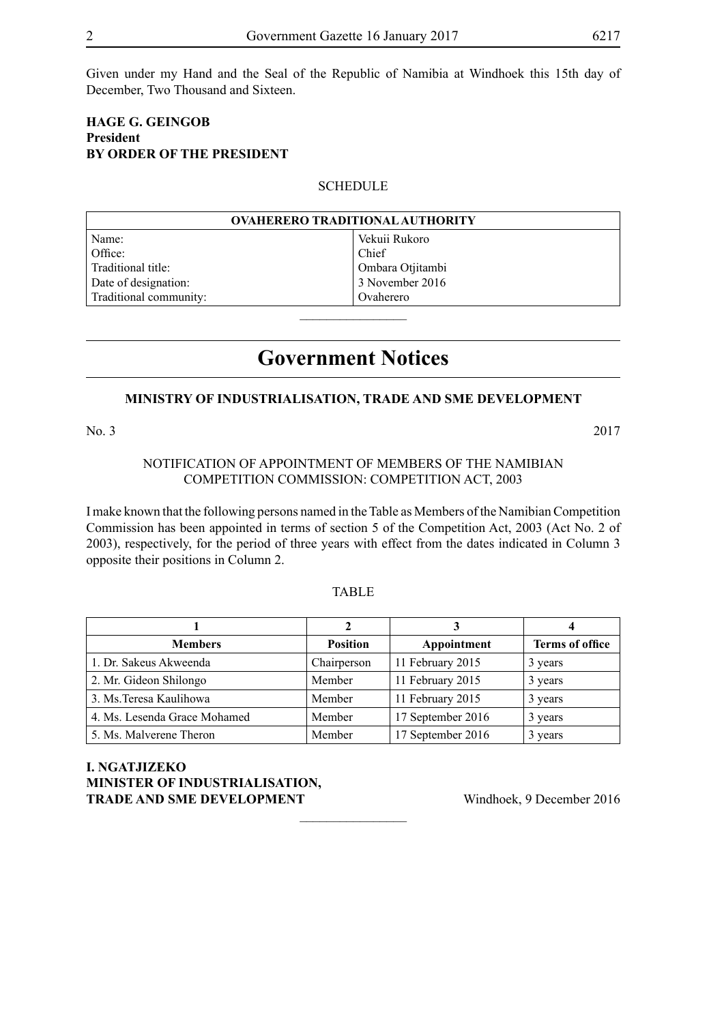Given under my Hand and the Seal of the Republic of Namibia at Windhoek this 15th day of December, Two Thousand and Sixteen.

#### **Hage G. Geingob President BY ORDER OF THE PRESIDENT**

#### **SCHEDULE**

| <b>OVAHERERO TRADITIONAL AUTHORITY</b> |                  |  |
|----------------------------------------|------------------|--|
| Name:                                  | Vekuii Rukoro    |  |
| Office:                                | Chief            |  |
| Traditional title:                     | Ombara Otjitambi |  |
| Date of designation:                   | 3 November 2016  |  |
| Traditional community:                 | Ovaherero        |  |
|                                        |                  |  |

### **Government Notices**

#### **MINISTRY OF INDUSTRIALISATION, TRADE AND SME DEVELOPMENT**

No. 3 2017

#### NOTIFICATION OF APPOINTMENT OF MEMBERS OF THE NAMIBIAN COMPETITION COMMISSION: COMPETITION ACT, 2003

I make known that the following persons named in the Table as Members of the Namibian Competition Commission has been appointed in terms of section 5 of the Competition Act, 2003 (Act No. 2 of 2003), respectively, for the period of three years with effect from the dates indicated in Column 3 opposite their positions in Column 2.

#### TABLE

|                              |                 |                   | 4                      |
|------------------------------|-----------------|-------------------|------------------------|
| <b>Members</b>               | <b>Position</b> | Appointment       | <b>Terms of office</b> |
| 1. Dr. Sakeus Akweenda       | Chairperson     | 11 February 2015  | 3 years                |
| 2. Mr. Gideon Shilongo       | Member          | 11 February 2015  | 3 years                |
| 3. Ms. Teresa Kaulihowa      | Member          | 11 February 2015  | 3 years                |
| 4. Ms. Lesenda Grace Mohamed | Member          | 17 September 2016 | 3 years                |
| 5. Ms. Malverene Theron      | Member          | 17 September 2016 | 3 years                |

 $\frac{1}{2}$ 

**I. NGATJIZEKO MINISTER OF INDUSTRIALISATION, TRADE AND SME DEVELOPMENT** Windhoek, 9 December 2016